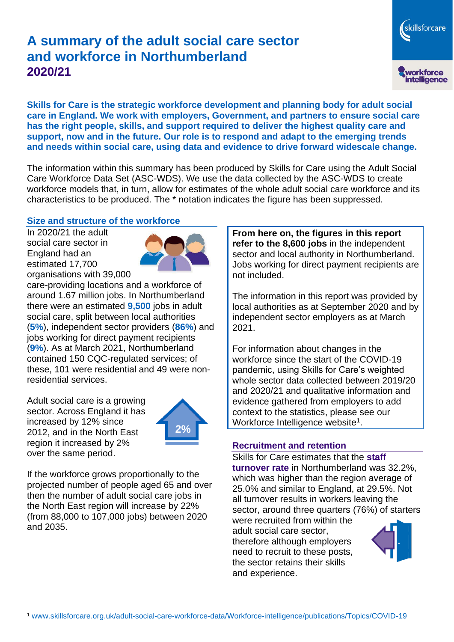# **A summary of the adult social care sector and workforce in Northumberland 2020/21**

skillsforcare workforce<br>intelligence

**Skills for Care is the strategic workforce development and planning body for adult social care in England. We work with employers, Government, and partners to ensure social care has the right people, skills, and support required to deliver the highest quality care and support, now and in the future. Our role is to respond and adapt to the emerging trends and needs within social care, using data and evidence to drive forward widescale change.**

The information within this summary has been produced by Skills for Care using the Adult Social Care Workforce Data Set (ASC-WDS). We use the data collected by the ASC-WDS to create workforce models that, in turn, allow for estimates of the whole adult social care workforce and its characteristics to be produced. The \* notation indicates the figure has been suppressed.

### **Size and structure of the workforce**

In 2020/21 the adult social care sector in England had an estimated 17,700 organisations with 39,000



care-providing locations and a workforce of around 1.67 million jobs. In Northumberland there were an estimated **9,500** jobs in adult social care, split between local authorities (**5%**), independent sector providers (**86%**) and jobs working for direct payment recipients (**9%**). As at March 2021, Northumberland contained 150 CQC-regulated services; of these, 101 were residential and 49 were nonresidential services.

Adult social care is a growing sector. Across England it has increased by 12% since 2012, and in the North East region it increased by 2% over the same period.



If the workforce grows proportionally to the projected number of people aged 65 and over then the number of adult social care jobs in the North East region will increase by 22% (from 88,000 to 107,000 jobs) between 2020 and 2035.

**From here on, the figures in this report refer to the 8,600 jobs** in the independent sector and local authority in Northumberland. Jobs working for direct payment recipients are not included.

The information in this report was provided by local authorities as at September 2020 and by independent sector employers as at March 2021.

For information about changes in the workforce since the start of the COVID-19 pandemic, using Skills for Care's weighted whole sector data collected between 2019/20 and 2020/21 and qualitative information and evidence gathered from employers to add context to the statistics, please see our Workforce Intelligence website<sup>1</sup>.

#### **Recruitment and retention**

Skills for Care estimates that the **staff turnover rate** in Northumberland was 32.2%, which was higher than the region average of 25.0% and similar to England, at 29.5%. Not all turnover results in workers leaving the sector, around three quarters (76%) of starters

were recruited from within the adult social care sector, therefore although employers need to recruit to these posts, the sector retains their skills and experience.

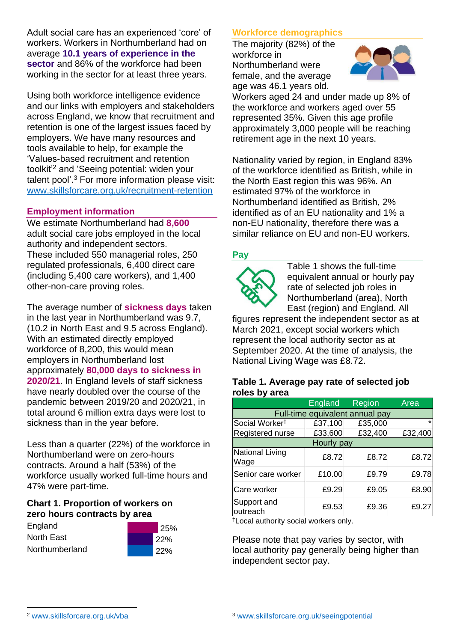Adult social care has an experienced 'core' of workers. Workers in Northumberland had on average **10.1 years of experience in the sector** and 86% of the workforce had been working in the sector for at least three years.

Using both workforce intelligence evidence and our links with employers and stakeholders across England, we know that recruitment and retention is one of the largest issues faced by employers. We have many resources and tools available to help, for example the 'Values-based recruitment and retention toolkit'<sup>2</sup> and 'Seeing potential: widen your talent pool'. <sup>3</sup> For more information please visit: [www.skillsforcare.org.uk/recruitment-retention](http://www.skillsforcare.org.uk/recruitment-retention)

### **Employment information**

We estimate Northumberland had **8,600** adult social care jobs employed in the local authority and independent sectors. These included 550 managerial roles, 250 regulated professionals, 6,400 direct care (including 5,400 care workers), and 1,400 other-non-care proving roles.

The average number of **sickness days** taken in the last year in Northumberland was 9.7, (10.2 in North East and 9.5 across England). With an estimated directly employed workforce of 8,200, this would mean employers in Northumberland lost approximately **80,000 days to sickness in 2020/21**. In England levels of staff sickness have nearly doubled over the course of the pandemic between 2019/20 and 2020/21, in total around 6 million extra days were lost to sickness than in the year before.

Less than a quarter (22%) of the workforce in Northumberland were on zero-hours contracts. Around a half (53%) of the workforce usually worked full-time hours and 47% were part-time.

#### **Chart 1. Proportion of workers on zero hours contracts by area**

| England        | 25% |
|----------------|-----|
| North East     | 22% |
| Northumberland | 22% |

#### **Workforce demographics**

The majority (82%) of the workforce in Northumberland were female, and the average age was 46.1 years old.



Workers aged 24 and under made up 8% of the workforce and workers aged over 55 represented 35%. Given this age profile approximately 3,000 people will be reaching retirement age in the next 10 years.

Nationality varied by region, in England 83% of the workforce identified as British, while in the North East region this was 96%. An estimated 97% of the workforce in Northumberland identified as British, 2% identified as of an EU nationality and 1% a non-EU nationality, therefore there was a similar reliance on EU and non-EU workers.

#### **Pay**



Table 1 shows the full-time equivalent annual or hourly pay rate of selected job roles in Northumberland (area), North East (region) and England. All

figures represent the independent sector as at March 2021, except social workers which represent the local authority sector as at September 2020. At the time of analysis, the National Living Wage was £8.72.

#### **Table 1. Average pay rate of selected job roles by area**

|                                 | <b>England</b> | Region  | Area    |
|---------------------------------|----------------|---------|---------|
| Full-time equivalent annual pay |                |         |         |
| Social Worker <sup>t</sup>      | £37,100        | £35,000 | $\star$ |
| Registered nurse                | £33,600        | £32,400 | £32,400 |
| Hourly pay                      |                |         |         |
| <b>National Living</b><br>Wage  | £8.72          | £8.72   | £8.72   |
| Senior care worker              | £10.00         | £9.79   | £9.78   |
| <b>Care worker</b>              | £9.29          | £9.05   | £8.90   |
| Support and<br>outreach         | £9.53          | £9.36   | £9.27   |

†Local authority social workers only.

Please note that pay varies by sector, with local authority pay generally being higher than independent sector pay.

[www.skillsforcare.org.uk/vba](http://www.skillsforcare.org.uk/vba)